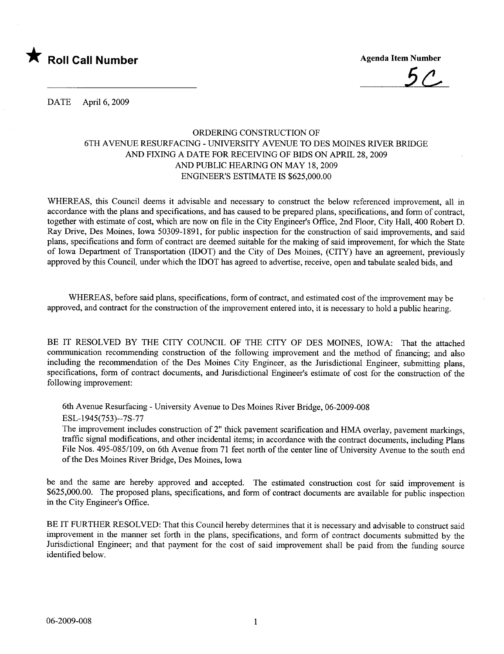

DATE April 6, 2009

## ORDERING CONSTRUCTION OF 6TH AVENUE RESURFACING - UNIVERSITY AVENUE TO DES MOINES RIVER BRIDGE AND FIXING A DATE FOR RECEIVING OF BIDS ON APRIL 28, 2009 AND PUBLIC HEARING ON MAY 18, 2009 ENGINEER'S ESTIMATE IS \$625,000.00

WHEREAS, this Council deems it advisable and necessary to construct the below referenced improvement, all in accordance with the plans and specifications, and has caused to be prepared plans, specifications, and form of contract, together with estimate of cost, which are now on file in the City Engineer's Office, 2nd Floor, City Hall, 400 Robert D. Ray Drive, Des Moines, Iowa 50309-1891, for public inspection for the construction of said improvements, and said plans, specifications and form of contract are deemed suitable for the making of said improvement, for which the State of Iowa Department of Transportation (IDOT) and the City of Des Moines, (CITY) have an agreement, previously approved by this Council, under which the IDOT has agreed to advertise, receive, open and tabulate sealed bids, and

WHEREAS, before said plans, specifications, form of contract, and estimated cost of the improvement may be approved, and contract for the construction of the improvement entered into, it is necessary to hold a public hearing.

BE IT RESOLVED BY THE CITY COUNCIL OF THE CITY OF DES MOINES, IOWA: That the attached communication recommending construction of the following improvement and the method of financing; and also including the recommendation of the Des Moines City Engineer, as the Jurisdictional Engineer, submitting plans, specifications, form of contract documents, and Jurisdictional Engineer's estimate of cost for the construction of the following improvement:

6th Avenue Resurfacing - University Avenue to Des Moines River Bridge, 06-2009-008

ESL-1945(753)--7S-77

The improvement includes construction of 2" thick pavement scarification and HMA overlay, pavement markings, traffic signal modifications, and other incidental items; in accordance with the contract documents, including Plans File Nos. 495-085/109, on 6th Avenue from 71 feet north of the center line of University Avenue to the south end of the Des Moines River Bridge, Des Moines, Iowa

be and the same are hereby approved and accepted. The estimated construction cost for said improvement is \$625,000.00. The proposed plans, specifications, and form of contract documents are available for public inspection in the City Engineer's Office.

BE IT FURTHER RESOLVED: That this Council hereby determines that it is necessary and advisable to construct said improvement in the manner set forth in the plans, specifications, and form of contract documents submitted by the Jurisdictional Engineer; and that payment for the cost of said improvement shall be paid from the funding source identified below.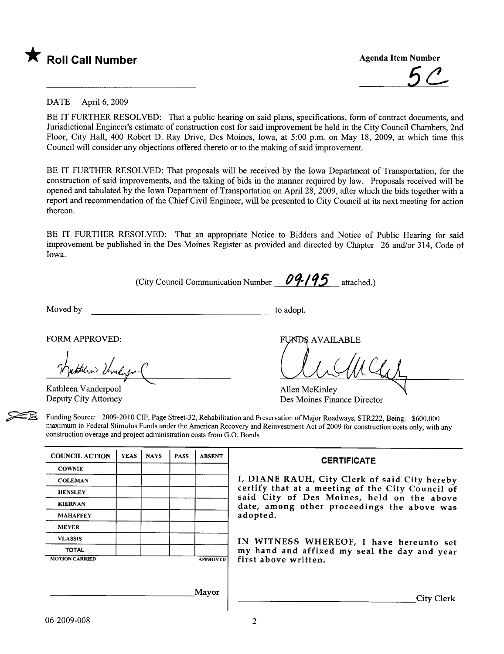

\* Roll Call Number Agenda Item Number<br>
5<sup>0</sup>

#### DATE April 6, 2009

BE IT FURTHER RESOLVED: That a public hearing on said plans, specifications, form of contract documents, and Jurisdictional Engineer's estimate of construction cost for said improvement be held in the City Council Chambers, 2nd Floor, City Hall, 400 Robert D. Ray Drive, Des Moines, Iowa, at 5:00 p.m. on May 18, 2009, at which time this Council will consider any objections offered thereto or to the making of said improvement.

BE IT FURTHER RESOLVED: That proposals wil be received by the Iowa Department of Transportation, for the construction of said improvements, and the taking of bids in the manner required by law. Proposals received will be opened and tabulated by the Iowa Department of Transportation on April 28, 2009, after which the bids together with a report and recommendation of the Chief Civil Engineer, will be presented to City Council at its next meeting for action thereon.

BE IT FURTHER RESOLVED: That an appropriate Notice to Bidders and Notice of Public Hearing for said improvement be published in the Des Moines Register as provided and directed by Chapter 26 and/or 314, Code of Iowa.

(City Council Communication Number  $\theta$ 9-195 attached.)

Moved by to adopt.

FUNDS AVAILABLE<br>
Tynthew Verneige Cameron

Kathleen Vanderpool Deputy City Attorney

Allen McKinley Des Moines Finance Director

Funding Source: 2009-2010 CIP, Page Street-32, Rehabilitation and Preservation of Major Roadways, STR222, Being: \$600,000 maximum in Federal Stimulus Funds under the American Recovery and Reinvestment Act of 2009 for construction costs only, with any construction overage and project administration costs from G.O. Bonds

| <b>COUNCIL ACTION</b> | <b>YEAS</b> | <b>NAYS</b> | <b>PASS</b>     | <b>ABSENT</b> |  |  |
|-----------------------|-------------|-------------|-----------------|---------------|--|--|
| <b>COWNIE</b>         |             |             |                 |               |  |  |
| <b>COLEMAN</b>        |             |             |                 |               |  |  |
| <b>HENSLEY</b>        |             |             |                 |               |  |  |
| <b>KIERNAN</b>        |             |             |                 |               |  |  |
| <b>MAHAFFEY</b>       |             |             |                 |               |  |  |
| <b>MEYER</b>          |             |             |                 |               |  |  |
| <b>VLASSIS</b>        |             |             |                 |               |  |  |
| <b>TOTAL</b>          |             |             |                 |               |  |  |
| <b>MOTION CARRIED</b> |             |             | <b>APPROVED</b> |               |  |  |

#### **CERTIFICATE**

I, DIANE RAUH, City Clerk of said City hereby certify that at a meeting of the City Council of said City of Des Moines, held on the above date, among other proceedings the above was adopted.

IN WITNESS WHEREOF, I have hereunto set my hand and affixed my seal the day and year first above written.

City Clerk

Mayor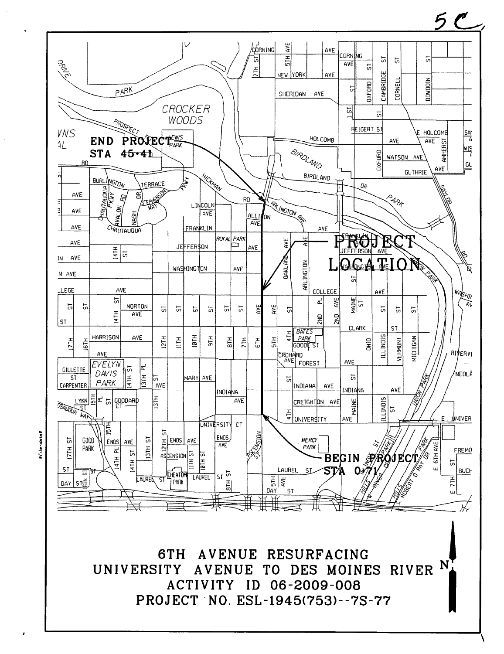

File-dates